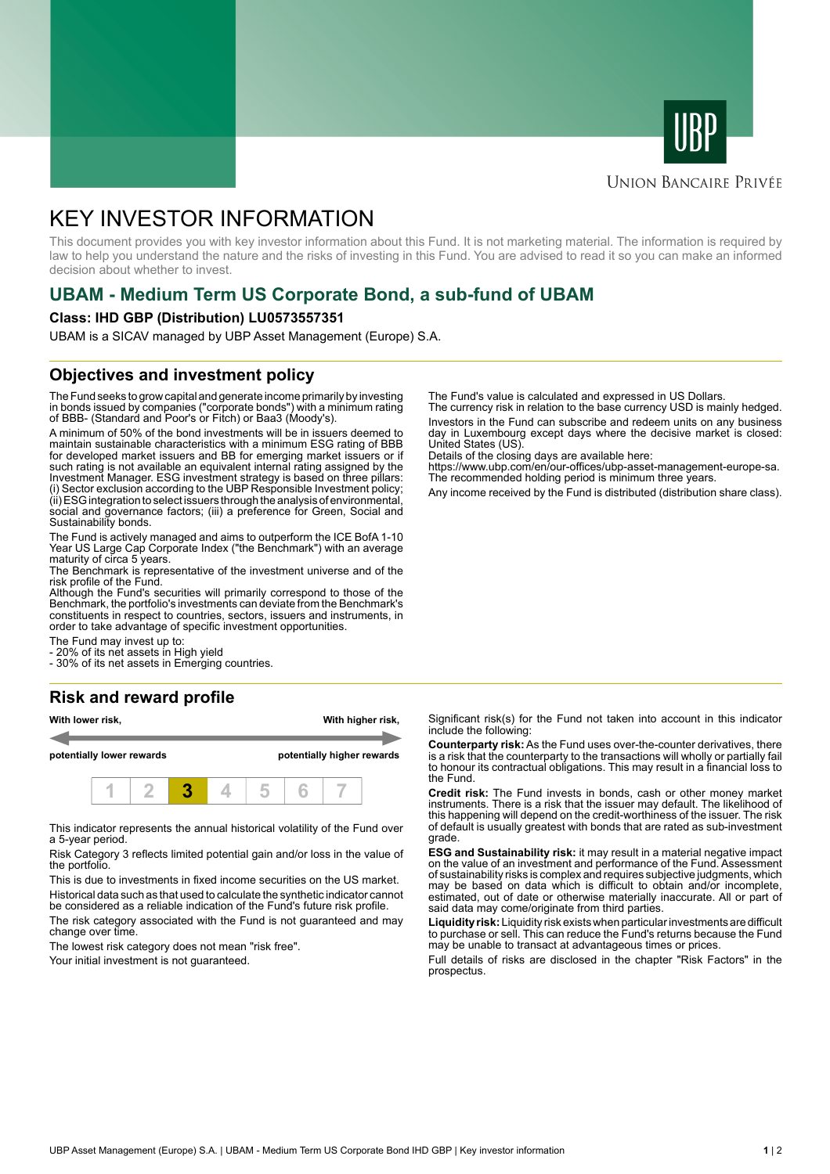



# **UNION BANCAIRE PRIVÉE**

# KEY INVESTOR INFORMATION

This document provides you with key investor information about this Fund. It is not marketing material. The information is required by law to help you understand the nature and the risks of investing in this Fund. You are advised to read it so you can make an informed decision about whether to invest.

# **UBAM - Medium Term US Corporate Bond, a sub-fund of UBAM**

#### **Class: IHD GBP (Distribution) LU0573557351**

UBAM is a SICAV managed by UBP Asset Management (Europe) S.A.

# **Objectives and investment policy**

The Fund seeks to grow capital and generate income primarily by investing in bonds issued by companies ("corporate bonds") with a minimum rating of BBB- (Standard and Poor's or Fitch) or Baa3 (Moody's).

A minimum of 50% of the bond investments will be in issuers deemed to maintain sustainable characteristics with a minimum ESG rating of BBB for developed market issuers and BB for emerging market issuers or if such rating is not available an equivalent internal rating assigned by the Investment Manager. ESG investment strategy is based on three pillars: (i) Sector exclusion according to the UBP Responsible Investment policy; (ii) ESG integration to select issuers through the analysis of environmental, social and governance factors; (iii) a preference for Green, Social and Sustainability bonds.

The Fund is actively managed and aims to outperform the ICE BofA 1-10 Year US Large Cap Corporate Index ("the Benchmark") with an average maturity of circa 5 years.

The Benchmark is representative of the investment universe and of the risk profile of the Fund.

Although the Fund's securities will primarily correspond to those of the Benchmark, the portfolio's investments can deviate from the Benchmark's constituents in respect to countries, sectors, issuers and instruments, in order to take advantage of specific investment opportunities.

The Fund may invest up to:

20% of its net assets in High yield

- 30% of its net assets in Emerging countries.

## **Risk and reward profile**

| With lower risk,          |  |  | With higher risk,<br>potentially higher rewards |  |  |  |
|---------------------------|--|--|-------------------------------------------------|--|--|--|
| potentially lower rewards |  |  |                                                 |  |  |  |
|                           |  |  |                                                 |  |  |  |

This indicator represents the annual historical volatility of the Fund over a 5-year period.

Risk Category 3 reflects limited potential gain and/or loss in the value of the portfolio.

This is due to investments in fixed income securities on the US market. Historical data such as that used to calculate the synthetic indicator cannot

be considered as a reliable indication of the Fund's future risk profile. The risk category associated with the Fund is not guaranteed and may change over time.

The lowest risk category does not mean "risk free".

Your initial investment is not guaranteed.

The Fund's value is calculated and expressed in US Dollars.

The currency risk in relation to the base currency USD is mainly hedged. Investors in the Fund can subscribe and redeem units on any business day in Luxembourg except days where the decisive market is closed: United States (US).

Details of the closing days are available here:

https://www.ubp.com/en/our-offices/ubp-asset-management-europe-sa. The recommended holding period is minimum three years.

Any income received by the Fund is distributed (distribution share class).

Significant risk(s) for the Fund not taken into account in this indicator include the following:

**Counterparty risk:** As the Fund uses over-the-counter derivatives, there is a risk that the counterparty to the transactions will wholly or partially fail to honour its contractual obligations. This may result in a financial loss to the Fund.

**Credit risk:** The Fund invests in bonds, cash or other money market instruments. There is a risk that the issuer may default. The likelihood of this happening will depend on the credit-worthiness of the issuer. The risk of default is usually greatest with bonds that are rated as sub-investment grade.

**ESG and Sustainability risk:** it may result in a material negative impact on the value of an investment and performance of the Fund. Assessment of sustainability risks is complex and requires subjective judgments, which may be based on data which is difficult to obtain and/or incomplete, estimated, out of date or otherwise materially inaccurate. All or part of said data may come/originate from third parties.

**Liquidity risk:** Liquidity risk exists when particular investments are difficult to purchase or sell. This can reduce the Fund's returns because the Fund may be unable to transact at advantageous times or prices.

Full details of risks are disclosed in the chapter "Risk Factors" in the prospectus.